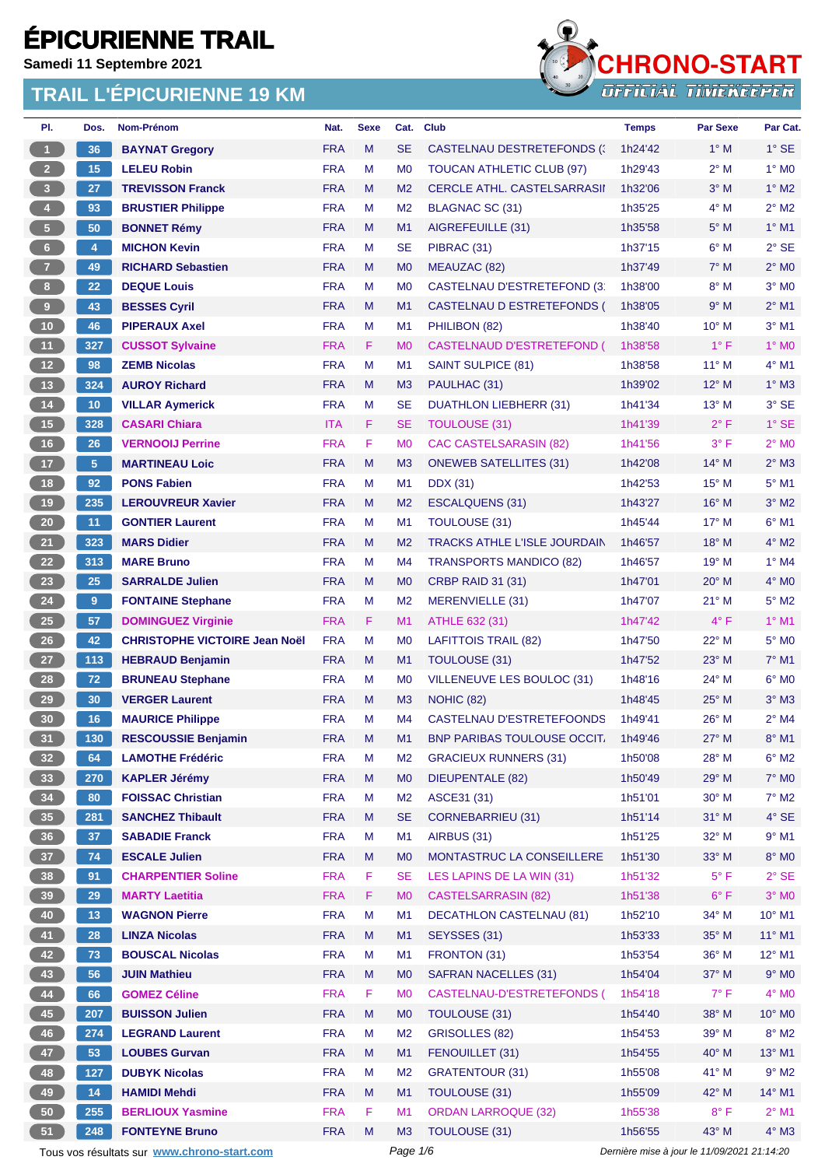**Samedi 11 Septembre 2021**



| PI.                     | Dos.           | Nom-Prénom                                  | Nat.                     | <b>Sexe</b> | Cat.           | <b>Club</b>                             | <b>Temps</b>                                | <b>Par Sexe</b>         | Par Cat.                   |
|-------------------------|----------------|---------------------------------------------|--------------------------|-------------|----------------|-----------------------------------------|---------------------------------------------|-------------------------|----------------------------|
| $\blacktriangleleft$    | 36             | <b>BAYNAT Gregory</b>                       | <b>FRA</b>               | M           | <b>SE</b>      | CASTELNAU DESTRETEFONDS (               | 1h24'42                                     | $1^\circ$ M             | $1^\circ$ SE               |
| $\overline{2}$          | 15             | <b>LELEU Robin</b>                          | <b>FRA</b>               | М           | M <sub>0</sub> | TOUCAN ATHLETIC CLUB (97)               | 1h29'43                                     | $2^{\circ}$ M           | $1^\circ$ MO               |
| $\overline{\mathbf{3}}$ | 27             | <b>TREVISSON Franck</b>                     | <b>FRA</b>               | M           | M <sub>2</sub> | <b>CERCLE ATHL. CASTELSARRASII</b>      | 1h32'06                                     | $3^\circ$ M             | $1^\circ$ M2               |
| $\bullet$               | 93             | <b>BRUSTIER Philippe</b>                    | <b>FRA</b>               | М           | M <sub>2</sub> | BLAGNAC SC (31)                         | 1h35'25                                     | $4^\circ$ M             | $2^{\circ}$ M2             |
| $5\phantom{.0}$         | 50             | <b>BONNET Rémy</b>                          | <b>FRA</b>               | M           | M <sub>1</sub> | AIGREFEUILLE (31)                       | 1h35'58                                     | $5^\circ$ M             | $1°$ M1                    |
| $6\phantom{.}$          | 4              | <b>MICHON Kevin</b>                         | <b>FRA</b>               | M           | <b>SE</b>      | PIBRAC (31)                             | 1h37'15                                     | $6^\circ$ M             | $2°$ SE                    |
| $\overline{7}$          | 49             | <b>RICHARD Sebastien</b>                    | <b>FRA</b>               | M           | M <sub>0</sub> | MEAUZAC (82)                            | 1h37'49                                     | $7^\circ$ M             | $2^{\circ}$ MO             |
| 8 <sup>1</sup>          | 22             | <b>DEQUE Louis</b>                          | <b>FRA</b>               | M           | M <sub>0</sub> | CASTELNAU D'ESTRETEFOND (3 <sup>-</sup> | 1h38'00                                     | $8^\circ$ M             | $3°$ MO                    |
| 9                       | 43             | <b>BESSES Cyril</b>                         | <b>FRA</b>               | M           | M1             | CASTELNAU D ESTRETEFONDS (              | 1h38'05                                     | 9° M                    | $2^{\circ}$ M1             |
| 10                      | 46             | <b>PIPERAUX Axel</b>                        | <b>FRA</b>               | М           | M1             | PHILIBON (82)                           | 1h38'40                                     | $10^{\circ}$ M          | $3°$ M1                    |
| 11                      | 327            | <b>CUSSOT Sylvaine</b>                      | <b>FRA</b>               | F           | M <sub>0</sub> | <b>CASTELNAUD D'ESTRETEFOND (</b>       | 1h38'58                                     | $1^{\circ}$ F           | $1^\circ$ MO               |
| 12 <sup>°</sup>         | 98             | <b>ZEMB Nicolas</b>                         | <b>FRA</b>               | M           | M1             | SAINT SULPICE (81)                      | 1h38'58                                     | $11^{\circ}$ M          | $4^{\circ}$ M1             |
| 13                      | 324            | <b>AUROY Richard</b>                        | <b>FRA</b>               | M           | M <sub>3</sub> | PAULHAC (31)                            | 1h39'02                                     | 12° M                   | $1^\circ$ M3               |
| $14$                    | 10             | <b>VILLAR Aymerick</b>                      | <b>FRA</b>               | M           | <b>SE</b>      | <b>DUATHLON LIEBHERR (31)</b>           | 1h41'34                                     | $13^{\circ}$ M          | 3° SE                      |
| 15                      | 328            | <b>CASARI Chiara</b>                        | <b>ITA</b>               | F.          | <b>SE</b>      | TOULOUSE (31)                           | 1h41'39                                     | $2^{\circ}$ F           | $1^\circ$ SE               |
| 16                      | 26             | <b>VERNOOIJ Perrine</b>                     | <b>FRA</b>               | F           | M <sub>0</sub> | <b>CAC CASTELSARASIN (82)</b>           | 1h41'56                                     | 3° F                    | $2^{\circ}$ MO             |
| 17                      | 5 <sup>5</sup> | <b>MARTINEAU Loic</b>                       | <b>FRA</b>               | M           | M3             | <b>ONEWEB SATELLITES (31)</b>           | 1h42'08                                     | $14^{\circ}$ M          | $2^{\circ}$ M3             |
| 18                      | 92             | <b>PONS Fabien</b>                          | <b>FRA</b>               | М           | M1             | <b>DDX</b> (31)                         | 1h42'53                                     | 15° M                   | $5^{\circ}$ M1             |
| $19$                    | 235            | <b>LEROUVREUR Xavier</b>                    | <b>FRA</b>               | M           | M <sub>2</sub> | <b>ESCALQUENS (31)</b>                  | 1h43'27                                     | $16^{\circ}$ M          | $3°$ M2                    |
| 20                      | 11             | <b>GONTIER Laurent</b>                      | <b>FRA</b>               | М           | M1             | <b>TOULOUSE (31)</b>                    | 1h45'44                                     | $17^{\circ}$ M          | $6^{\circ}$ M1             |
| 21                      | 323            | <b>MARS Didier</b>                          | <b>FRA</b>               | M           | M <sub>2</sub> | <b>TRACKS ATHLE L'ISLE JOURDAIN</b>     | 1h46'57                                     | $18^{\circ}$ M          | $4^\circ$ M2               |
| 22                      | 313            | <b>MARE Bruno</b>                           | <b>FRA</b>               | M           | M4             | <b>TRANSPORTS MANDICO (82)</b>          | 1h46'57                                     | 19° M                   | $1^\circ$ M4               |
| 23                      | 25             | <b>SARRALDE Julien</b>                      | <b>FRA</b>               | M           | M <sub>0</sub> | <b>CRBP RAID 31 (31)</b>                | 1h47'01                                     | $20^\circ$ M            | $4^\circ$ MO               |
| 24                      | 9              | <b>FONTAINE Stephane</b>                    | <b>FRA</b>               | М           | M <sub>2</sub> | MERENVIELLE (31)                        | 1h47'07                                     | $21°$ M                 | $5^\circ$ M2               |
| <b>25</b>               | 57             | <b>DOMINGUEZ Virginie</b>                   | <b>FRA</b>               | F           | M1             | ATHLE 632 (31)                          | 1h47'42                                     | $4^{\circ}$ F           | $1°$ M1                    |
| 26                      | 42             | <b>CHRISTOPHE VICTOIRE Jean Noël</b>        | <b>FRA</b>               | М           | M <sub>0</sub> | <b>LAFITTOIS TRAIL (82)</b>             | 1h47'50                                     | $22^{\circ}$ M          | $5^\circ$ MO               |
| 27                      | 113            |                                             | <b>FRA</b>               | M           | M <sub>1</sub> | <b>TOULOUSE (31)</b>                    | 1h47'52                                     | 23° M                   | $7°$ M1                    |
|                         |                | <b>HEBRAUD Benjamin</b>                     |                          | М           |                |                                         |                                             |                         |                            |
| 28                      | 72<br>30       | <b>BRUNEAU Stephane</b>                     | <b>FRA</b><br><b>FRA</b> |             | M <sub>0</sub> | VILLENEUVE LES BOULOC (31)              | 1h48'16                                     | $24^{\circ}$ M          | $6^\circ$ MO<br>$3°$ M $3$ |
| 29                      |                | <b>VERGER Laurent</b>                       | <b>FRA</b>               | M           | M <sub>3</sub> | NOHIC (82)                              | 1h48'45                                     | $25^{\circ}$ M<br>26° M | $2^{\circ}$ M4             |
| 30                      | 16             | <b>MAURICE Philippe</b>                     |                          | М           | M4             | CASTELNAU D'ESTRETEFOONDS               | 1h49'41                                     |                         |                            |
| 31                      | 130            | <b>RESCOUSSIE Benjamin</b>                  | <b>FRA</b>               | M           | M1             | <b>BNP PARIBAS TOULOUSE OCCIT.</b>      | 1h49'46                                     | $27^\circ$ M            | 8° M1                      |
| 32 <sub>2</sub>         | 64             | <b>LAMOTHE Frédéric</b>                     | <b>FRA</b>               | Μ           | M <sub>2</sub> | <b>GRACIEUX RUNNERS (31)</b>            | 1h50'08                                     | 28° M                   | $6^{\circ}$ M2             |
| 33                      | 270            | <b>KAPLER Jérémy</b>                        | <b>FRA</b>               | M           | M <sub>0</sub> | <b>DIEUPENTALE (82)</b>                 | 1h50'49                                     | 29° M                   | 7° M0                      |
| 34                      | 80             | <b>FOISSAC Christian</b>                    | <b>FRA</b>               | M           | M <sub>2</sub> | ASCE31 (31)                             | 1h51'01                                     | $30^\circ$ M            | $7^\circ$ M2               |
| 35                      | 281            | <b>SANCHEZ Thibault</b>                     | <b>FRA</b>               | M           | <b>SE</b>      | <b>CORNEBARRIEU (31)</b>                | 1h51'14                                     | $31°$ M                 | $4^\circ$ SE               |
| 36                      | 37             | <b>SABADIE Franck</b>                       | <b>FRA</b>               | M           | M1             | AIRBUS (31)                             | 1h51'25                                     | 32° M                   | $9°$ M1                    |
| 37 <sup>°</sup>         | 74             | <b>ESCALE Julien</b>                        | <b>FRA</b>               | M           | M <sub>0</sub> | MONTASTRUC LA CONSEILLERE               | 1h51'30                                     | 33° M                   | $8^\circ$ MO               |
| 38                      | 91             | <b>CHARPENTIER Soline</b>                   | <b>FRA</b>               | F           | <b>SE</b>      | LES LAPINS DE LA WIN (31)               | 1h51'32                                     | $5^{\circ}$ F           | $2°$ SE                    |
| 39                      | 29             | <b>MARTY Laetitia</b>                       | <b>FRA</b>               | F.          | M <sub>0</sub> | <b>CASTELSARRASIN (82)</b>              | 1h51'38                                     | $6^{\circ}$ F           | $3°$ MO                    |
| 40                      | 13             | <b>WAGNON Pierre</b>                        | <b>FRA</b>               | M           | M1             | <b>DECATHLON CASTELNAU (81)</b>         | 1h52'10                                     | 34° M                   | 10° M1                     |
| 41                      | 28             | <b>LINZA Nicolas</b>                        | <b>FRA</b>               | M           | M1             | SEYSSES (31)                            | 1h53'33                                     | 35° M                   | 11° M1                     |
| 42                      | 73             | <b>BOUSCAL Nicolas</b>                      | <b>FRA</b>               | M           | M1             | FRONTON (31)                            | 1h53'54                                     | 36° M                   | $12^{\circ}$ M1            |
| 43                      | 56             | <b>JUIN Mathieu</b>                         | <b>FRA</b>               | M           | M <sub>0</sub> | <b>SAFRAN NACELLES (31)</b>             | 1h54'04                                     | 37° M                   | $9°$ MO                    |
| 44                      | 66             | <b>GOMEZ Céline</b>                         | <b>FRA</b>               | F           | M <sub>0</sub> | CASTELNAU-D'ESTRETEFONDS (              | 1h54'18                                     | $7^\circ$ F             | $4^\circ$ MO               |
| 45                      | 207            | <b>BUISSON Julien</b>                       | <b>FRA</b>               | M           | M <sub>0</sub> | TOULOUSE (31)                           | 1h54'40                                     | 38° M                   | $10^{\circ}$ MO            |
| 46                      | 274            | <b>LEGRAND Laurent</b>                      | <b>FRA</b>               | M           | M <sub>2</sub> | <b>GRISOLLES (82)</b>                   | 1h54'53                                     | 39° M                   | $8^\circ$ M2               |
| 47                      | 53             | <b>LOUBES Gurvan</b>                        | <b>FRA</b>               | M           | M1             | FENOUILLET (31)                         | 1h54'55                                     | 40° M                   | 13° M1                     |
| 48                      | 127            | <b>DUBYK Nicolas</b>                        | <b>FRA</b>               | M           | M <sub>2</sub> | <b>GRATENTOUR (31)</b>                  | 1h55'08                                     | 41° M                   | $9°$ M2                    |
| 49                      | 14             | <b>HAMIDI Mehdi</b>                         | <b>FRA</b>               | M           | M1             | <b>TOULOUSE (31)</b>                    | 1h55'09                                     | 42° M                   | 14° M1                     |
| 50                      | 255            | <b>BERLIOUX Yasmine</b>                     | <b>FRA</b>               | F           | M1             | <b>ORDAN LARROQUE (32)</b>              | 1h55'38                                     | $8^{\circ}$ F           | $2^{\circ}$ M1             |
| 51                      | 248            | <b>FONTEYNE Bruno</b>                       | <b>FRA</b>               | M           | M <sub>3</sub> | TOULOUSE (31)                           | 1h56'55                                     | 43° M                   | $4^\circ$ M3               |
|                         |                | Tous vos résultats sur www.chrono-start.com |                          |             | Page 1/6       |                                         | Dernière mise à jour le 11/09/2021 21:14:20 |                         |                            |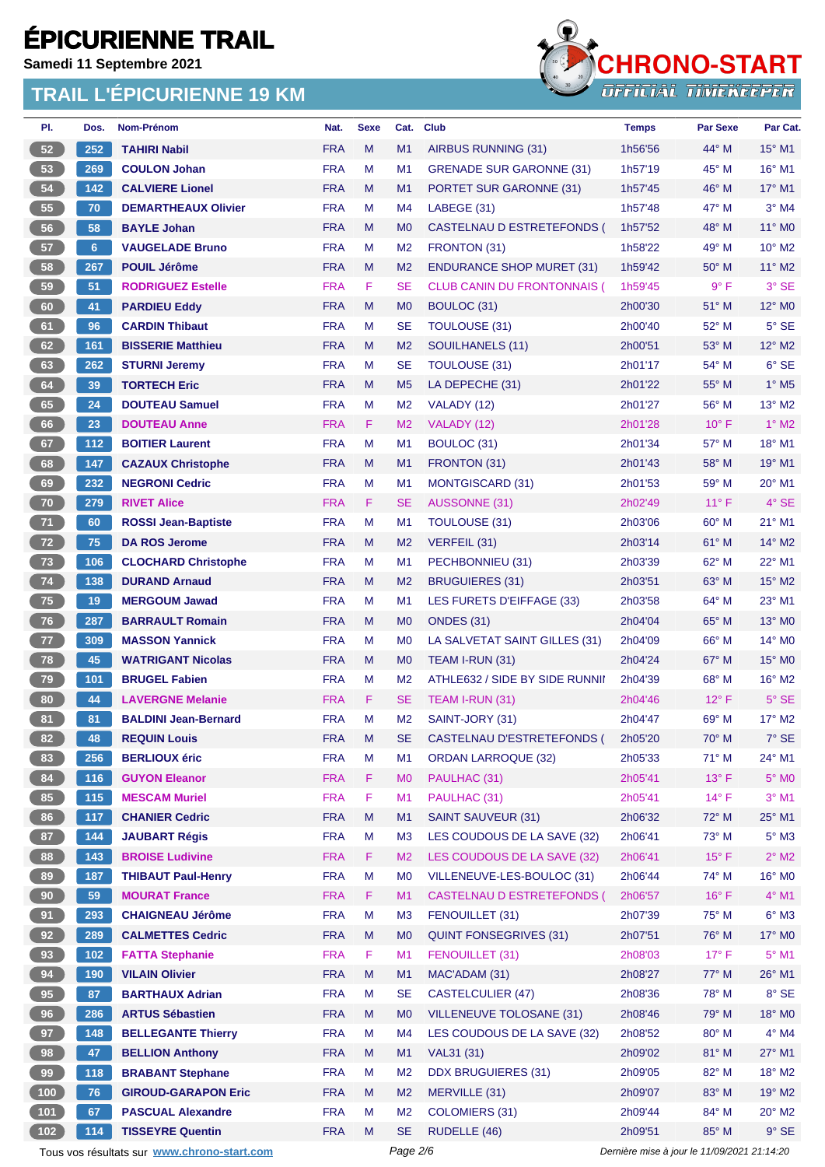**Samedi 11 Septembre 2021**



| PI.             | Dos.           | <b>Nom-Prénom</b>                           | Nat.       | <b>Sexe</b> | Cat.           | <b>Club</b>                        | <b>Temps</b>                                | <b>Par Sexe</b> | Par Cat.                 |
|-----------------|----------------|---------------------------------------------|------------|-------------|----------------|------------------------------------|---------------------------------------------|-----------------|--------------------------|
| 52              | 252            | <b>TAHIRI Nabil</b>                         | <b>FRA</b> | M           | M1             | AIRBUS RUNNING (31)                | 1h56'56                                     | $44^{\circ}$ M  | $15^{\circ}$ M1          |
| 53              | 269            | <b>COULON Johan</b>                         | <b>FRA</b> | M           | M <sub>1</sub> | <b>GRENADE SUR GARONNE (31)</b>    | 1h57'19                                     | 45° M           | 16° M1                   |
| 54              | 142            | <b>CALVIERE Lionel</b>                      | <b>FRA</b> | M           | M1             | <b>PORTET SUR GARONNE (31)</b>     | 1h57'45                                     | $46^{\circ}$ M  | $17^\circ$ M1            |
| 55              | 70             | <b>DEMARTHEAUX Olivier</b>                  | <b>FRA</b> | M           | M4             | LABEGE (31)                        | 1h57'48                                     | 47° M           | $3°$ M4                  |
| 56              | 58             | <b>BAYLE Johan</b>                          | <b>FRA</b> | M           | M <sub>0</sub> | CASTELNAU D ESTRETEFONDS (         | 1h57'52                                     | 48° M           | 11° M0                   |
| 57              | 6 <sup>5</sup> | <b>VAUGELADE Bruno</b>                      | <b>FRA</b> | M           | M <sub>2</sub> | FRONTON (31)                       | 1h58'22                                     | 49° M           | $10^{\circ}$ M2          |
| 58              | 267            | <b>POUIL Jérôme</b>                         | <b>FRA</b> | M           | M <sub>2</sub> | <b>ENDURANCE SHOP MURET (31)</b>   | 1h59'42                                     | $50^\circ$ M    | $11^{\circ}$ M2          |
| 59              | 51             | <b>RODRIGUEZ Estelle</b>                    | <b>FRA</b> | F           | <b>SE</b>      | <b>CLUB CANIN DU FRONTONNAIS (</b> | 1h59'45                                     | 9° F            | 3° SE                    |
| 60              | 41             | <b>PARDIEU Eddy</b>                         | <b>FRA</b> | M           | M <sub>0</sub> | BOULOC (31)                        | 2h00'30                                     | 51° M           | $12^{\circ}$ MO          |
| 61              | 96             | <b>CARDIN Thibaut</b>                       | <b>FRA</b> | M           | <b>SE</b>      | <b>TOULOUSE (31)</b>               | 2h00'40                                     | 52° M           | $5^\circ$ SE             |
| 62              | 161            | <b>BISSERIE Matthieu</b>                    | <b>FRA</b> | M           | M <sub>2</sub> | SOUILHANELS (11)                   | 2h00'51                                     | 53° M           | 12° M2                   |
| 63              | 262            | <b>STURNI Jeremy</b>                        | <b>FRA</b> | M           | <b>SE</b>      | <b>TOULOUSE (31)</b>               | 2h01'17                                     | 54° M           | $6°$ SE                  |
| 64              | 39             | <b>TORTECH Eric</b>                         | <b>FRA</b> | M           | M <sub>5</sub> | LA DEPECHE (31)                    | 2h01'22                                     | $55^{\circ}$ M  | $1^\circ$ M <sub>5</sub> |
| 65              | 24             | <b>DOUTEAU Samuel</b>                       | <b>FRA</b> | M           | M <sub>2</sub> | VALADY (12)                        | 2h01'27                                     | $56^{\circ}$ M  | $13^{\circ}$ M2          |
| 66              | 23             | <b>DOUTEAU Anne</b>                         | <b>FRA</b> | F           | M <sub>2</sub> | VALADY (12)                        | 2h01'28                                     | $10^{\circ}$ F  | $1^\circ$ M2             |
| 67              | 112            | <b>BOITIER Laurent</b>                      | <b>FRA</b> | M           | M <sub>1</sub> | BOULOC (31)                        | 2h01'34                                     | 57° M           | 18° M1                   |
| 68              | 147            | <b>CAZAUX Christophe</b>                    | <b>FRA</b> | M           | M1             | FRONTON (31)                       | 2h01'43                                     | 58° M           | 19° M1                   |
| 69              | 232            | <b>NEGRONI Cedric</b>                       | <b>FRA</b> | M           | M <sub>1</sub> | <b>MONTGISCARD (31)</b>            | 2h01'53                                     | 59° M           | 20° M1                   |
| 70              | 279            | <b>RIVET Alice</b>                          | <b>FRA</b> | F           | <b>SE</b>      | <b>AUSSONNE (31)</b>               | 2h02'49                                     | $11^{\circ}$ F  | 4° SE                    |
| 71              | 60             | <b>ROSSI Jean-Baptiste</b>                  | <b>FRA</b> | M           | M1             | <b>TOULOUSE (31)</b>               | 2h03'06                                     | $60^\circ$ M    | $21^{\circ}$ M1          |
| 72              | 75             | <b>DA ROS Jerome</b>                        | <b>FRA</b> | M           | M <sub>2</sub> | VERFEIL (31)                       | 2h03'14                                     | $61^\circ$ M    | $14^{\circ}$ M2          |
| 73              | 106            | <b>CLOCHARD Christophe</b>                  | <b>FRA</b> | M           | M1             | PECHBONNIEU (31)                   | 2h03'39                                     | $62^{\circ}$ M  | 22° M1                   |
| $74$            | 138            | <b>DURAND Arnaud</b>                        | <b>FRA</b> | M           | M <sub>2</sub> | <b>BRUGUIERES (31)</b>             | 2h03'51                                     | 63° M           | 15° M2                   |
| 75              | 19             | <b>MERGOUM Jawad</b>                        | <b>FRA</b> | M           | M <sub>1</sub> | LES FURETS D'EIFFAGE (33)          | 2h03'58                                     | 64° M           | 23° M1                   |
| 76              | 287            | <b>BARRAULT Romain</b>                      | <b>FRA</b> | M           | M <sub>0</sub> | <b>ONDES (31)</b>                  | 2h04'04                                     | $65^{\circ}$ M  | $13^\circ$ MO            |
| 77              | 309            | <b>MASSON Yannick</b>                       | <b>FRA</b> | M           | M <sub>0</sub> | LA SALVETAT SAINT GILLES (31)      | 2h04'09                                     | $66^{\circ}$ M  | 14° M0                   |
| 78              | 45             | <b>WATRIGANT Nicolas</b>                    | <b>FRA</b> | M           | M <sub>0</sub> | TEAM I-RUN (31)                    | 2h04'24                                     | $67^\circ$ M    | 15° MO                   |
| 79              | 101            | <b>BRUGEL Fabien</b>                        | <b>FRA</b> | M           | M <sub>2</sub> | ATHLE632 / SIDE BY SIDE RUNNII     | 2h04'39                                     | 68° M           | 16° M2                   |
| 80              | 44             | <b>LAVERGNE Melanie</b>                     | <b>FRA</b> | F           | <b>SE</b>      | TEAM I-RUN (31)                    | 2h04'46                                     | $12^{\circ}$ F  | $5^\circ$ SE             |
| 81              | 81             | <b>BALDINI Jean-Bernard</b>                 | <b>FRA</b> | M           | M <sub>2</sub> | SAINT-JORY (31)                    | 2h04'47                                     | 69° M           | $17^\circ$ M2            |
| 82              | 48             | <b>REQUIN Louis</b>                         | <b>FRA</b> | M           | <b>SE</b>      | CASTELNAU D'ESTRETEFONDS (         | 2h05'20                                     | $70^\circ$ M    | 7° SE                    |
| 83              | 256            | <b>BERLIOUX éric</b>                        | <b>FRA</b> | M           | M1             | <b>ORDAN LARROQUE (32)</b>         | 2h05'33                                     | 71° M           | 24° M1                   |
| 84              | 116            | <b>GUYON Eleanor</b>                        | <b>FRA</b> | F           | M <sub>0</sub> | PAULHAC (31)                       | 2h05'41                                     | $13^{\circ}$ F  | $5^\circ$ MO             |
| 85              | $115$          | <b>MESCAM Muriel</b>                        | <b>FRA</b> | F           | M <sub>1</sub> | PAULHAC (31)                       | 2h05'41                                     | $14^{\circ}$ F  | $3°$ M1                  |
| 86              | 117            | <b>CHANIER Cedric</b>                       | <b>FRA</b> | M           | M1             | <b>SAINT SAUVEUR (31)</b>          | 2h06'32                                     | 72° M           | 25° M1                   |
| 87              | 144            | <b>JAUBART Régis</b>                        | <b>FRA</b> | M           | M <sub>3</sub> | LES COUDOUS DE LA SAVE (32)        | 2h06'41                                     | 73° M           | $5^\circ$ M3             |
| 88              | 143            | <b>BROISE Ludivine</b>                      | <b>FRA</b> | F           | M <sub>2</sub> | LES COUDOUS DE LA SAVE (32)        | 2h06'41                                     | $15^{\circ}$ F  | $2^{\circ}$ M2           |
| 89              | 187            | <b>THIBAUT Paul-Henry</b>                   | <b>FRA</b> | M           | M <sub>0</sub> | VILLENEUVE-LES-BOULOC (31)         | 2h06'44                                     | 74° M           | 16° M0                   |
| 90 <sub>o</sub> | 59             | <b>MOURAT France</b>                        | <b>FRA</b> | F           | M1             | <b>CASTELNAU D ESTRETEFONDS (</b>  | 2h06'57                                     | $16^{\circ}$ F  | $4^\circ$ M1             |
| 91              | 293            | <b>CHAIGNEAU Jérôme</b>                     | <b>FRA</b> | M           | M <sub>3</sub> | FENOUILLET (31)                    | 2h07'39                                     | 75° M           | $6^\circ$ M3             |
| 92              | 289            | <b>CALMETTES Cedric</b>                     | <b>FRA</b> | M           | M <sub>0</sub> | <b>QUINT FONSEGRIVES (31)</b>      | 2h07'51                                     | 76° M           | 17° M0                   |
| 93              | 102            | <b>FATTA Stephanie</b>                      | <b>FRA</b> | F           | M1             | FENOUILLET (31)                    | 2h08'03                                     | $17^{\circ}$ F  | $5^\circ$ M1             |
| 94              | 190            | <b>VILAIN Olivier</b>                       | <b>FRA</b> | M           | M1             | MAC'ADAM (31)                      | 2h08'27                                     | 77° M           | 26° M1                   |
| 95              | 87             | <b>BARTHAUX Adrian</b>                      | <b>FRA</b> | M           | <b>SE</b>      | <b>CASTELCULIER (47)</b>           | 2h08'36                                     | 78° M           | $8^\circ$ SE             |
| 96              | 286            | <b>ARTUS Sébastien</b>                      | <b>FRA</b> | M           | M <sub>0</sub> | <b>VILLENEUVE TOLOSANE (31)</b>    | 2h08'46                                     | 79° M           | 18° MO                   |
| 97              | 148            | <b>BELLEGANTE Thierry</b>                   | <b>FRA</b> | M           | M <sub>4</sub> | LES COUDOUS DE LA SAVE (32)        | 2h08'52                                     | 80° M           | $4^\circ$ M4             |
| 98              | 47             | <b>BELLION Anthony</b>                      | <b>FRA</b> | M           | M1             | VAL31 (31)                         | 2h09'02                                     | 81° M           | $27^\circ$ M1            |
| 99              | 118            | <b>BRABANT Stephane</b>                     | <b>FRA</b> | M           | M <sub>2</sub> | <b>DDX BRUGUIERES (31)</b>         | 2h09'05                                     | 82° M           | 18° M2                   |
| $100$           | 76             | <b>GIROUD-GARAPON Eric</b>                  | <b>FRA</b> | M           | M <sub>2</sub> | MERVILLE (31)                      | 2h09'07                                     | 83° M           | 19° M2                   |
| $101$           | 67             | <b>PASCUAL Alexandre</b>                    | <b>FRA</b> | M           | M <sub>2</sub> | <b>COLOMIERS (31)</b>              | 2h09'44                                     | 84° M           | $20^\circ$ M2            |
| $102$           | 114            | <b>TISSEYRE Quentin</b>                     | <b>FRA</b> | M           | <b>SE</b>      | RUDELLE (46)                       | 2h09'51                                     | 85° M           | $9°$ SE                  |
|                 |                | Tous vos résultats sur www.chrono-start.com |            |             | Page 2/6       |                                    | Dernière mise à jour le 11/09/2021 21:14:20 |                 |                          |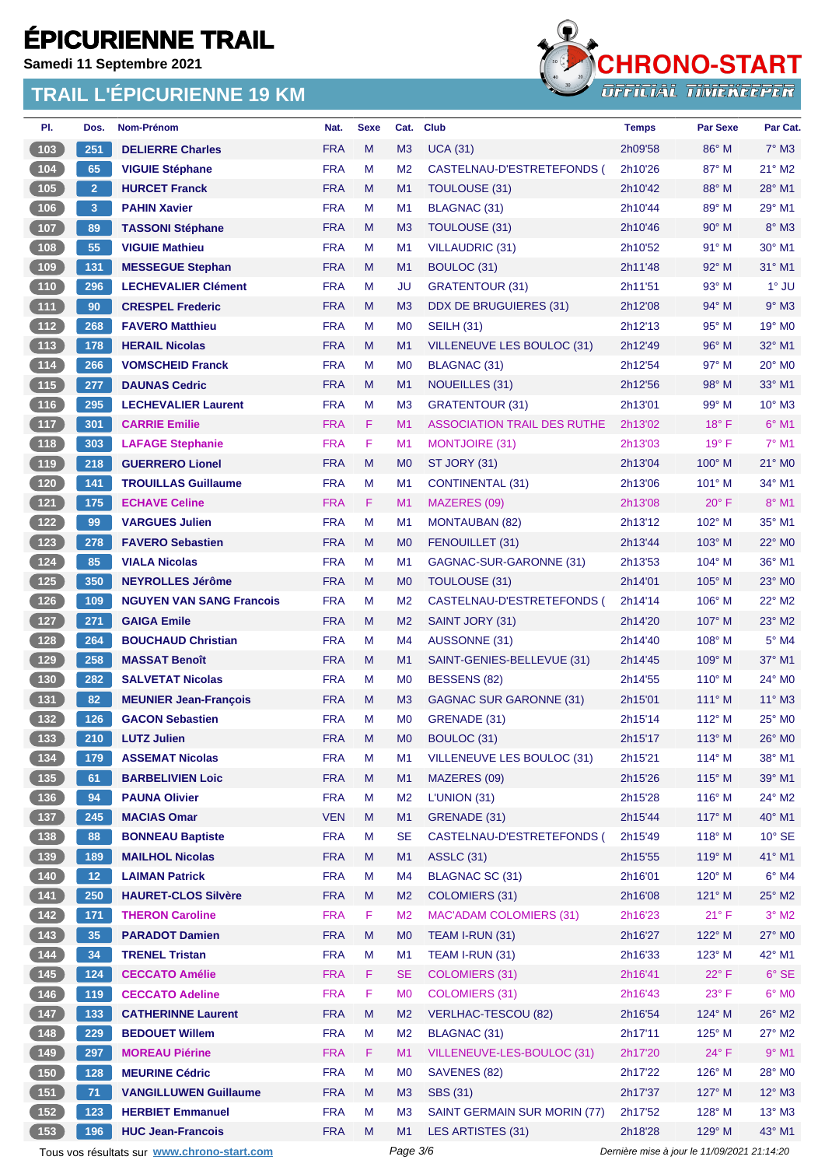**Samedi 11 Septembre 2021**



| PI.                                        | Dos.            | Nom-Prénom                                             | Nat.       | <b>Sexe</b> | Cat.           | <b>Club</b>                                    | <b>Temps</b>       | <b>Par Sexe</b>                             | Par Cat.                  |
|--------------------------------------------|-----------------|--------------------------------------------------------|------------|-------------|----------------|------------------------------------------------|--------------------|---------------------------------------------|---------------------------|
| 103                                        | 251             | <b>DELIERRE Charles</b>                                | <b>FRA</b> | M           | M <sub>3</sub> | <b>UCA (31)</b>                                | 2h09'58            | 86° M                                       | $7^\circ$ M3              |
| $\boxed{104}$                              | 65              | <b>VIGUIE Stéphane</b>                                 | <b>FRA</b> | M           | M <sub>2</sub> | CASTELNAU-D'ESTRETEFONDS (                     | 2h10'26            | $87^\circ$ M                                | $21^\circ$ M <sub>2</sub> |
| 105                                        | $\overline{2}$  | <b>HURCET Franck</b>                                   | <b>FRA</b> | M           | M <sub>1</sub> | TOULOUSE (31)                                  | 2h10'42            | 88° M                                       | $28^\circ$ M1             |
| 106                                        | 3               | <b>PAHIN Xavier</b>                                    | <b>FRA</b> | M           | M1             | BLAGNAC (31)                                   | 2h10'44            | 89° M                                       | 29° M1                    |
| $107$                                      | 89              | <b>TASSONI Stéphane</b>                                | <b>FRA</b> | M           | M <sub>3</sub> | TOULOUSE (31)                                  | 2h10'46            | $90^\circ$ M                                | 8° M3                     |
| $108$                                      | 55              | <b>VIGUIE Mathieu</b>                                  | <b>FRA</b> | M           | M <sub>1</sub> | <b>VILLAUDRIC (31)</b>                         | 2h10'52            | 91° M                                       | 30° M1                    |
| 109                                        | 131             | <b>MESSEGUE Stephan</b>                                | <b>FRA</b> | M           | M1             | BOULOC (31)                                    | 2h11'48            | $92^\circ$ M                                | $31^\circ$ M1             |
| $110$                                      | 296             | <b>LECHEVALIER Clément</b>                             | <b>FRA</b> | M           | JU             | <b>GRATENTOUR (31)</b>                         | 2h11'51            | $93^\circ$ M                                | $1^\circ$ JU              |
| $\boxed{111}$                              | 90              | <b>CRESPEL Frederic</b>                                | <b>FRA</b> | M           | M <sub>3</sub> | DDX DE BRUGUIERES (31)                         | 2h12'08            | $94^{\circ}$ M                              | $9°$ M3                   |
| $\boxed{112}$                              | 268             | <b>FAVERO Matthieu</b>                                 | <b>FRA</b> | M           | M <sub>0</sub> | <b>SEILH (31)</b>                              | 2h12'13            | $95^{\circ}$ M                              | 19° M0                    |
| $113$                                      | 178             | <b>HERAIL Nicolas</b>                                  | <b>FRA</b> | M           | M1             | VILLENEUVE LES BOULOC (31)                     | 2h12'49            | $96^\circ$ M                                | $32^\circ$ M1             |
| $114$                                      | 266             | <b>VOMSCHEID Franck</b>                                | <b>FRA</b> | M           | M <sub>0</sub> | BLAGNAC (31)                                   | 2h12'54            | 97° M                                       | $20^\circ$ MO             |
| $\boxed{115}$                              | 277             | <b>DAUNAS Cedric</b>                                   | <b>FRA</b> | M           | M1             | NOUEILLES (31)                                 | 2h12'56            | $98^\circ$ M                                | $33^\circ$ M1             |
| $116$                                      | 295             | <b>LECHEVALIER Laurent</b>                             | <b>FRA</b> | M           | M <sub>3</sub> | <b>GRATENTOUR (31)</b>                         | 2h13'01            | $99^\circ$ M                                | $10^{\circ}$ M3           |
| $117$                                      | 301             | <b>CARRIE Emilie</b>                                   | <b>FRA</b> | F           | M <sub>1</sub> | <b>ASSOCIATION TRAIL DES RUTHE</b>             | 2h13'02            | $18^{\circ}$ F                              | $6°$ M1                   |
| $\boxed{118}$                              | 303             | <b>LAFAGE Stephanie</b>                                | <b>FRA</b> | F           | M1             | <b>MONTJOIRE (31)</b>                          | 2h13'03            | $19^{\circ}$ F                              | $7^\circ$ M1              |
| $\boxed{119}$                              | 218             | <b>GUERRERO Lionel</b>                                 | <b>FRA</b> | M           | M <sub>0</sub> | ST JORY (31)                                   | 2h13'04            | $100^\circ$ M                               | 21° MO                    |
| 120                                        | 141             | <b>TROUILLAS Guillaume</b>                             | <b>FRA</b> | M           | M <sub>1</sub> | <b>CONTINENTAL (31)</b>                        | 2h13'06            | $101^\circ$ M                               | 34° M1                    |
| $121$                                      | 175             | <b>ECHAVE Celine</b>                                   | <b>FRA</b> | F           | M1             | MAZERES (09)                                   | 2h13'08            | $20^{\circ}$ F                              | 8° M1                     |
| $122$                                      | 99              | <b>VARGUES Julien</b>                                  | <b>FRA</b> | M           | M <sub>1</sub> | <b>MONTAUBAN (82)</b>                          | 2h13'12            | $102^{\circ}$ M                             | 35° M1                    |
| $123$                                      | 278             | <b>FAVERO Sebastien</b>                                | <b>FRA</b> | M           | M <sub>0</sub> | FENOUILLET (31)                                | 2h13'44            | $103^\circ$ M                               | 22° M0                    |
| 124                                        | 85              | <b>VIALA Nicolas</b>                                   | <b>FRA</b> | M           | M <sub>1</sub> | GAGNAC-SUR-GARONNE (31)                        | 2h13'53            | $104^\circ$ M                               | 36° M1                    |
| 125                                        | 350             | <b>NEYROLLES Jérôme</b>                                | <b>FRA</b> | M           | M <sub>0</sub> | <b>TOULOUSE (31)</b>                           | 2h14'01            | $105^\circ$ M                               | $23^\circ$ MO             |
| $126$                                      | 109             | <b>NGUYEN VAN SANG Francois</b>                        | <b>FRA</b> | M           | M <sub>2</sub> | CASTELNAU-D'ESTRETEFONDS (                     | 2h14'14            | $106^\circ$ M                               | $22^{\circ}$ M2           |
| $127$                                      | 271             | <b>GAIGA Emile</b>                                     | <b>FRA</b> | M           | M <sub>2</sub> | SAINT JORY (31)                                | 2h14'20            | 107° M                                      | $23^\circ$ M2             |
| 128                                        | 264             | <b>BOUCHAUD Christian</b>                              | <b>FRA</b> | M           | M4             | AUSSONNE (31)                                  | 2h14'40            | $108^\circ$ M                               | 5° M4                     |
| $129$                                      | 258             | <b>MASSAT Benoît</b>                                   | <b>FRA</b> | M           | M1             | SAINT-GENIES-BELLEVUE (31)                     | 2h14'45            | $109^\circ$ M                               | 37° M1                    |
| $130$                                      | 282             | <b>SALVETAT Nicolas</b>                                | <b>FRA</b> | M           | M <sub>0</sub> | BESSENS (82)                                   | 2h14'55            | $110^\circ$ M                               | 24° M0                    |
| 131                                        | 82              |                                                        | <b>FRA</b> | M           | M <sub>3</sub> |                                                |                    | $111^\circ$ M                               | 11° M3                    |
|                                            |                 | <b>MEUNIER Jean-François</b><br><b>GACON Sebastien</b> | <b>FRA</b> | M           | M <sub>0</sub> | <b>GAGNAC SUR GARONNE (31)</b><br>GRENADE (31) | 2h15'01<br>2h15'14 | 112° M                                      | 25° MO                    |
| 132                                        | 126             |                                                        | <b>FRA</b> |             |                |                                                |                    |                                             |                           |
| (133)                                      | 210             | <b>LUTZ Julien</b>                                     |            | M           | M <sub>0</sub> | BOULOC (31)<br>VILLENEUVE LES BOULOC (31)      | 2h15'17            | $113^\circ$ M                               | 26° M0                    |
| $134$                                      | 179             | <b>ASSEMAT Nicolas</b>                                 | <b>FRA</b> | M           | M1             |                                                | 2h15'21            | $114^\circ$ M                               | 38° M1                    |
| 135                                        | 61              | <b>BARBELIVIEN Loic</b>                                | <b>FRA</b> | M           | M1             | MAZERES (09)                                   | 2h15'26            | $115^\circ$ M                               | 39° M1                    |
| $136$                                      | 94              | <b>PAUNA Olivier</b>                                   | <b>FRA</b> | M           | M <sub>2</sub> | L'UNION (31)                                   | 2h15'28            | $116^\circ$ M                               | 24° M2                    |
| (137)                                      | 245             | <b>MACIAS Omar</b>                                     | <b>VEN</b> | M           | M1             | GRENADE (31)                                   | 2h15'44            | $117^\circ$ M                               | 40° M1                    |
| $\begin{array}{c} \boxed{138} \end{array}$ | 88              | <b>BONNEAU Baptiste</b>                                | <b>FRA</b> | M           | <b>SE</b>      | CASTELNAU-D'ESTRETEFONDS (                     | 2h15'49            | $118^\circ$ M                               | $10^{\circ}$ SE           |
| $139$                                      | 189             | <b>MAILHOL Nicolas</b>                                 | <b>FRA</b> | M           | M1             | <b>ASSLC (31)</b>                              | 2h15'55            | 119° M                                      | 41° M1                    |
| $140$                                      | 12 <sub>1</sub> | <b>LAIMAN Patrick</b>                                  | <b>FRA</b> | M           | M4             | BLAGNAC SC (31)                                | 2h16'01            | $120^\circ$ M                               | $6^\circ$ M4              |
| $\begin{array}{c} \boxed{141} \end{array}$ | 250             | <b>HAURET-CLOS Silvère</b>                             | <b>FRA</b> | M           | M <sub>2</sub> | <b>COLOMIERS (31)</b>                          | 2h16'08            | $121^\circ$ M                               | 25° M2                    |
| 142                                        | 171             | <b>THERON Caroline</b>                                 | <b>FRA</b> | F           | M <sub>2</sub> | <b>MAC'ADAM COLOMIERS (31)</b>                 | 2h16'23            | $21^{\circ}$ F                              | $3°$ M2                   |
| $143$                                      | 35              | <b>PARADOT Damien</b>                                  | <b>FRA</b> | M           | M <sub>0</sub> | TEAM I-RUN (31)                                | 2h16'27            | 122° M                                      | 27° M0                    |
| 144                                        | 34              | <b>TRENEL Tristan</b>                                  | <b>FRA</b> | M           | M1             | TEAM I-RUN (31)                                | 2h16'33            | $123^\circ$ M                               | 42° M1                    |
| $145$                                      | 124             | <b>CECCATO Amélie</b>                                  | <b>FRA</b> | F           | <b>SE</b>      | <b>COLOMIERS (31)</b>                          | 2h16'41            | $22^{\circ}$ F                              | $6^{\circ}$ SE            |
| 146                                        | 119             | <b>CECCATO Adeline</b>                                 | <b>FRA</b> | F           | M <sub>0</sub> | <b>COLOMIERS (31)</b>                          | 2h16'43            | $23^{\circ}$ F                              | $6^\circ$ MO              |
| $\begin{bmatrix} 147 \end{bmatrix}$        | 133             | <b>CATHERINNE Laurent</b>                              | <b>FRA</b> | M           | M <sub>2</sub> | <b>VERLHAC-TESCOU (82)</b>                     | 2h16'54            | 124° M                                      | 26° M2                    |
| 148                                        | 229             | <b>BEDOUET Willem</b>                                  | <b>FRA</b> | M           | M <sub>2</sub> | BLAGNAC (31)                                   | 2h17'11            | $125^\circ$ M                               | $27^\circ$ M2             |
| 149                                        | 297             | <b>MOREAU Piérine</b>                                  | <b>FRA</b> | F.          | M1             | VILLENEUVE-LES-BOULOC (31)                     | 2h17'20            | $24^{\circ}$ F                              | $9°$ M1                   |
| $150$                                      | 128             | <b>MEURINE Cédric</b>                                  | <b>FRA</b> | M           | M <sub>0</sub> | SAVENES (82)                                   | 2h17'22            | $126^\circ$ M                               | 28° MO                    |
| (151)                                      | 71              | <b>VANGILLUWEN Guillaume</b>                           | <b>FRA</b> | M           | M3             | <b>SBS (31)</b>                                | 2h17'37            | $127^\circ$ M                               | $12^{\circ}$ M3           |
| $152$                                      | 123             | <b>HERBIET Emmanuel</b>                                | <b>FRA</b> | M           | M <sub>3</sub> | SAINT GERMAIN SUR MORIN (77)                   | 2h17'52            | 128° M                                      | $13^\circ$ M3             |
| 153                                        | 196             | <b>HUC Jean-Francois</b>                               | <b>FRA</b> | M           | M1             | LES ARTISTES (31)                              | 2h18'28            | 129° M                                      | 43° M1                    |
|                                            |                 | Tous vos résultats sur www.chrono-start.com            |            |             | Page 3/6       |                                                |                    | Dernière mise à jour le 11/09/2021 21:14:20 |                           |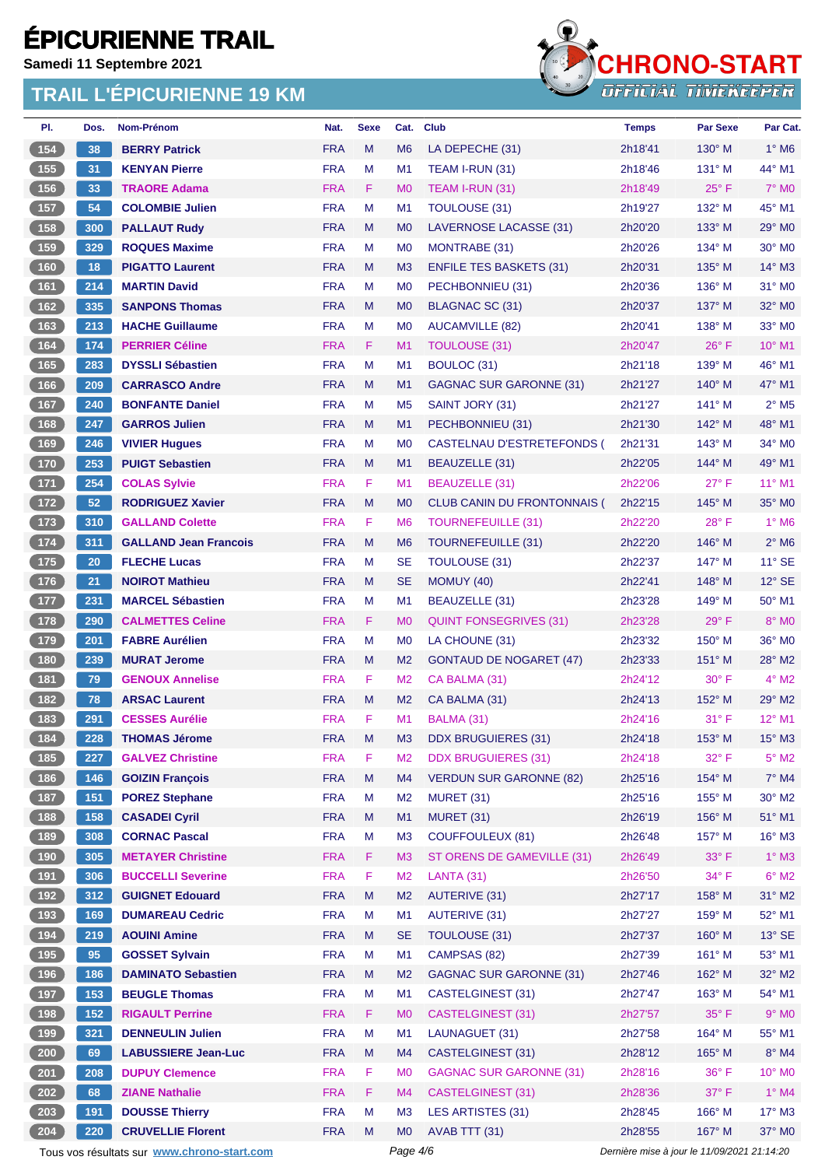**Samedi 11 Septembre 2021**

### **TRAIL L'ÉPICURIENNE 19 KM**



| PI.                                        | Dos. | <b>Nom-Prénom</b>            | Nat.       | <b>Sexe</b> | Cat.           | <b>Club</b>                    | <b>Temps</b> | <b>Par Sexe</b> | Par Cat.                   |
|--------------------------------------------|------|------------------------------|------------|-------------|----------------|--------------------------------|--------------|-----------------|----------------------------|
| 154                                        | 38   | <b>BERRY Patrick</b>         | <b>FRA</b> | M           | M <sub>6</sub> | LA DEPECHE (31)                | 2h18'41      | 130° M          | $1^\circ$ M6               |
| 155                                        | 31   | <b>KENYAN Pierre</b>         | <b>FRA</b> | М           | M1             | TEAM I-RUN (31)                | 2h18'46      | 131° M          | 44° M1                     |
| $156$                                      | 33   | <b>TRAORE Adama</b>          | <b>FRA</b> | F.          | M <sub>0</sub> | TEAM I-RUN (31)                | 2h18'49      | $25^{\circ}$ F  | $7^\circ$ MO               |
| $157$                                      | 54   | <b>COLOMBIE Julien</b>       | <b>FRA</b> | М           | M1             | TOULOUSE (31)                  | 2h19'27      | 132° M          | 45° M1                     |
| 158                                        | 300  | <b>PALLAUT Rudy</b>          | <b>FRA</b> | M           | M <sub>0</sub> | LAVERNOSE LACASSE (31)         | 2h20'20      | $133^\circ$ M   | $29^\circ$ MO              |
| 159                                        | 329  | <b>ROQUES Maxime</b>         | <b>FRA</b> | М           | M <sub>0</sub> | MONTRABE (31)                  | 2h20'26      | 134° M          | 30° MO                     |
| (160)                                      | 18   | <b>PIGATTO Laurent</b>       | <b>FRA</b> | M           | M3             | <b>ENFILE TES BASKETS (31)</b> | 2h20'31      | $135^\circ$ M   | $14^\circ$ M3              |
| 161                                        | 214  | <b>MARTIN David</b>          | <b>FRA</b> | М           | M <sub>0</sub> | PECHBONNIEU (31)               | 2h20'36      | $136^\circ$ M   | $31^\circ$ MO              |
| 162                                        | 335  | <b>SANPONS Thomas</b>        | <b>FRA</b> | M           | M <sub>0</sub> | BLAGNAC SC (31)                | 2h20'37      | $137^\circ$ M   | $32^\circ$ MO              |
| $163$                                      | 213  | <b>HACHE Guillaume</b>       | <b>FRA</b> | М           | M <sub>0</sub> | AUCAMVILLE (82)                | 2h20'41      | $138^\circ$ M   | $33^\circ$ MO              |
| 164                                        | 174  | <b>PERRIER Céline</b>        | <b>FRA</b> | F.          | M <sub>1</sub> | TOULOUSE (31)                  | 2h20'47      | $26^{\circ}$ F  | $10^{\circ}$ M1            |
| $165$                                      | 283  | <b>DYSSLI Sébastien</b>      | <b>FRA</b> | М           | M1             | BOULOC (31)                    | 2h21'18      | $139^\circ$ M   | 46° M1                     |
| $\overline{166}$                           | 209  | <b>CARRASCO Andre</b>        | <b>FRA</b> | M           | M <sub>1</sub> | GAGNAC SUR GARONNE (31)        | 2h21'27      | $140^\circ$ M   | $47^\circ$ M1              |
| $167$                                      | 240  | <b>BONFANTE Daniel</b>       | <b>FRA</b> | М           | M <sub>5</sub> | SAINT JORY (31)                | 2h21'27      | $141^\circ$ M   | $2^{\circ}$ M <sub>5</sub> |
| $\boxed{168}$                              | 247  | <b>GARROS Julien</b>         | <b>FRA</b> | M           | M1             | PECHBONNIEU (31)               | 2h21'30      | 142° M          | 48° M1                     |
| 169                                        | 246  | <b>VIVIER Hugues</b>         | <b>FRA</b> | М           | M <sub>0</sub> | CASTELNAU D'ESTRETEFONDS (     | 2h21'31      | $143^\circ$ M   | $34^\circ$ MO              |
| $170$                                      | 253  | <b>PUIGT Sebastien</b>       | <b>FRA</b> | M           | M1             | BEAUZELLE (31)                 | 2h22'05      | 144° M          | 49° M1                     |
| $-171$                                     | 254  | <b>COLAS Sylvie</b>          | <b>FRA</b> | F           | M1             | <b>BEAUZELLE (31)</b>          | 2h22'06      | $27^\circ$ F    | $11^{\circ}$ M1            |
| $\boxed{172}$                              | 52   | <b>RODRIGUEZ Xavier</b>      | <b>FRA</b> | M           | M <sub>0</sub> | CLUB CANIN DU FRONTONNAIS (    | 2h22'15      | $145^\circ$ M   | 35° MO                     |
| 173                                        | 310  | <b>GALLAND Colette</b>       | <b>FRA</b> | F.          | M <sub>6</sub> | TOURNEFEUILLE (31)             | 2h22'20      | $28^{\circ}$ F  | $1^\circ$ M <sub>6</sub>   |
| $\boxed{174}$                              | 311  | <b>GALLAND Jean Francois</b> | <b>FRA</b> | M           | M <sub>6</sub> | <b>TOURNEFEUILLE (31)</b>      | 2h22'20      | $146^\circ$ M   | $2^{\circ}$ M <sub>6</sub> |
| $\boxed{175}$                              | 20   | <b>FLECHE Lucas</b>          | <b>FRA</b> | М           | <b>SE</b>      | TOULOUSE (31)                  | 2h22'37      | $147^\circ$ M   | $11^{\circ}$ SE            |
| $176$                                      | 21   | <b>NOIROT Mathieu</b>        | <b>FRA</b> | M           | <b>SE</b>      | MOMUY (40)                     | 2h22'41      | 148° M          | $12^{\circ}$ SE            |
| $177$                                      | 231  | <b>MARCEL Sébastien</b>      | <b>FRA</b> | М           | M1             | BEAUZELLE (31)                 | 2h23'28      | $149^\circ$ M   | $50^\circ$ M1              |
| 178                                        | 290  | <b>CALMETTES Celine</b>      | <b>FRA</b> | F.          | M <sub>0</sub> | <b>QUINT FONSEGRIVES (31)</b>  | 2h23'28      | $29^\circ$ F    | $8^\circ$ MO               |
| 179                                        | 201  | <b>FABRE Aurélien</b>        | <b>FRA</b> | М           | M <sub>0</sub> | LA CHOUNE (31)                 | 2h23'32      | $150^\circ$ M   | $36^\circ$ MO              |
| $180$                                      | 239  | <b>MURAT Jerome</b>          | <b>FRA</b> | М           | M <sub>2</sub> | <b>GONTAUD DE NOGARET (47)</b> | 2h23'33      | $151^\circ$ M   | $28^\circ$ M2              |
| $181$                                      | 79   | <b>GENOUX Annelise</b>       | <b>FRA</b> | F.          | M <sub>2</sub> | CA BALMA (31)                  | 2h24'12      | $30^\circ$ F    | $4^\circ$ M2               |
| $\boxed{182}$                              | 78   | <b>ARSAC Laurent</b>         | <b>FRA</b> | M           | M <sub>2</sub> | CA BALMA (31)                  | 2h24'13      | 152° M          | $29^\circ$ M2              |
| 183                                        | 291  | <b>CESSES Aurélie</b>        | <b>FRA</b> | F           | M <sub>1</sub> | BALMA (31)                     | 2h24'16      | $31^\circ$ F    | $12^{\circ}$ M1            |
| (184)                                      | 228  | <b>THOMAS Jérome</b>         | <b>FRA</b> | м           | M <sub>3</sub> | <b>DDX BRUGUIERES (31)</b>     | 2h24'18      | $153^\circ$ M   | $15^{\circ}$ M3            |
| [185]                                      | 227  | <b>GALVEZ Christine</b>      | <b>FRA</b> | F.          | M <sub>2</sub> | <b>DDX BRUGUIERES (31)</b>     | 2h24'18      | 32°F            | $5^\circ$ M2               |
| 186                                        | 146  | <b>GOIZIN François</b>       | <b>FRA</b> | M           | M4             | <b>VERDUN SUR GARONNE (82)</b> | 2h25'16      | 154° M          | $7^\circ$ M4               |
| $187$                                      | 151  | <b>POREZ Stephane</b>        | <b>FRA</b> | M           | M <sub>2</sub> | MURET (31)                     | 2h25'16      | 155° M          | 30° M2                     |
| 188                                        | 158  | <b>CASADEI Cyril</b>         | <b>FRA</b> | M           | M1             | <b>MURET (31)</b>              | 2h26'19      | 156° M          | 51° M1                     |
| (189)                                      | 308  | <b>CORNAC Pascal</b>         | <b>FRA</b> | M           | M <sub>3</sub> | <b>COUFFOULEUX (81)</b>        | 2h26'48      | 157° M          | 16° M3                     |
| (190)                                      | 305  | <b>METAYER Christine</b>     | <b>FRA</b> | F           | M <sub>3</sub> | ST ORENS DE GAMEVILLE (31)     | 2h26'49      | 33° F           | $1^\circ$ M3               |
| 191                                        | 306  | <b>BUCCELLI Severine</b>     | <b>FRA</b> | F           | M <sub>2</sub> | <b>LANTA (31)</b>              | 2h26'50      | $34^{\circ}$ F  | $6^\circ$ M2               |
| 192                                        | 312  | <b>GUIGNET Edouard</b>       | <b>FRA</b> | M           | M <sub>2</sub> | <b>AUTERIVE (31)</b>           | 2h27'17      | 158° M          | 31° M2                     |
| $\begin{array}{c} \boxed{193} \end{array}$ | 169  | <b>DUMAREAU Cedric</b>       | <b>FRA</b> | М           | M1             | <b>AUTERIVE (31)</b>           | 2h27'27      | 159° M          | 52° M1                     |
| (194)                                      | 219  | <b>AOUINI Amine</b>          | <b>FRA</b> | M           | <b>SE</b>      | TOULOUSE (31)                  | 2h27'37      | 160° M          | $13^\circ$ SE              |
| 195                                        | 95   | <b>GOSSET Sylvain</b>        | <b>FRA</b> | M           | M1             | CAMPSAS (82)                   | 2h27'39      | $161^\circ$ M   | 53° M1                     |
| (196)                                      | 186  | <b>DAMINATO Sebastien</b>    | <b>FRA</b> | M           | M <sub>2</sub> | <b>GAGNAC SUR GARONNE (31)</b> | 2h27'46      | 162° M          | 32° M2                     |
| $\begin{array}{c} \boxed{197} \end{array}$ | 153  | <b>BEUGLE Thomas</b>         | <b>FRA</b> | M           | M1             | CASTELGINEST (31)              | 2h27'47      | 163° M          | 54° M1                     |
| 198                                        | 152  | <b>RIGAULT Perrine</b>       | <b>FRA</b> | F.          | M <sub>0</sub> | <b>CASTELGINEST (31)</b>       | 2h27'57      | 35°F            | $9°$ MO                    |
| 199                                        | 321  | <b>DENNEULIN Julien</b>      | <b>FRA</b> | M           | M1             | LAUNAGUET (31)                 | 2h27'58      | 164° M          | 55° M1                     |
| 200                                        | 69   | <b>LABUSSIERE Jean-Luc</b>   | <b>FRA</b> | M           | M4             | CASTELGINEST (31)              | 2h28'12      | 165° M          | $8^\circ$ M4               |
| 201                                        | 208  | <b>DUPUY Clemence</b>        | <b>FRA</b> | F.          | M <sub>0</sub> | <b>GAGNAC SUR GARONNE (31)</b> | 2h28'16      | 36°F            | 10° M0                     |
| 202                                        | 68   | <b>ZIANE Nathalie</b>        | <b>FRA</b> | F           | M4             | <b>CASTELGINEST (31)</b>       | 2h28'36      | $37^\circ$ F    | $1^\circ$ M4               |
| 203                                        | 191  | <b>DOUSSE Thierry</b>        | <b>FRA</b> | M           | M <sub>3</sub> | LES ARTISTES (31)              | 2h28'45      | 166° M          | 17° M3                     |
| 204                                        | 220  | <b>CRUVELLIE Florent</b>     | <b>FRA</b> | M           | M <sub>0</sub> | AVAB TTT (31)                  | 2h28'55      | 167° M          | 37° M0                     |

Tous vos résultats sur **[www.chrono-start.com](https://www.chrono-start.com/)** Page 4/6 Page 4/6 Dernière mise à jour le 11/09/2021 21:14:20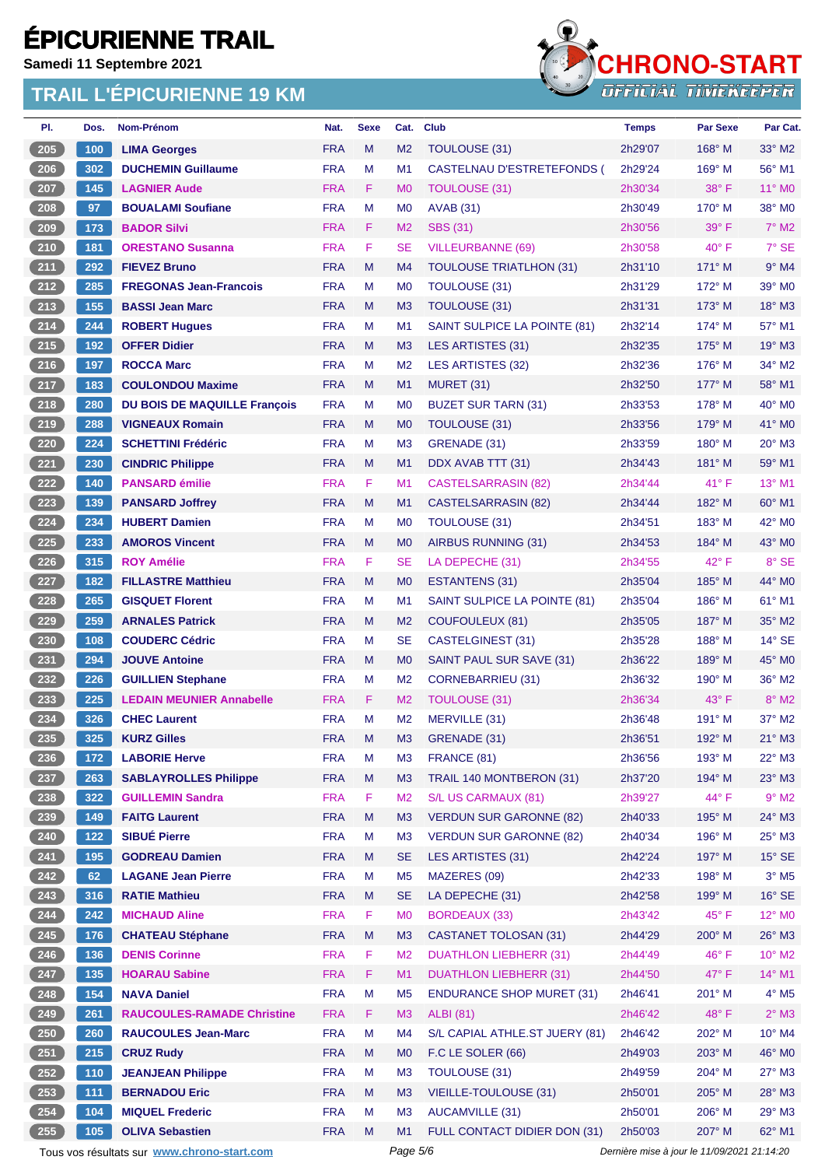**Samedi 11 Septembre 2021**

### **TRAIL L'ÉPICURIENNE 19 KM**



| PI.   | Dos.  | Nom-Prénom                          | Nat.       | <b>Sexe</b> | Cat.           | <b>Club</b>                       | <b>Temps</b> | <b>Par Sexe</b> | Par Cat.                 |
|-------|-------|-------------------------------------|------------|-------------|----------------|-----------------------------------|--------------|-----------------|--------------------------|
| 205   | 100   | <b>LIMA Georges</b>                 | <b>FRA</b> | M           | M <sub>2</sub> | <b>TOULOUSE (31)</b>              | 2h29'07      | 168° M          | 33° M2                   |
| 206   | 302   | <b>DUCHEMIN Guillaume</b>           | <b>FRA</b> | M           | M1             | <b>CASTELNAU D'ESTRETEFONDS (</b> | 2h29'24      | 169° M          | 56° M1                   |
| 207   | 145   | <b>LAGNIER Aude</b>                 | <b>FRA</b> | F.          | M <sub>0</sub> | TOULOUSE (31)                     | 2h30'34      | $38^\circ$ F    | 11° MO                   |
| 208   | 97    | <b>BOUALAMI Soufiane</b>            | <b>FRA</b> | М           | M <sub>0</sub> | <b>AVAB (31)</b>                  | 2h30'49      | $170^\circ$ M   | 38° MO                   |
| 209   | 173   | <b>BADOR Silvi</b>                  | <b>FRA</b> | F           | M <sub>2</sub> | <b>SBS (31)</b>                   | 2h30'56      | $39^\circ$ F    | $7^\circ$ M2             |
| 210   | 181   | <b>ORESTANO Susanna</b>             | <b>FRA</b> | F           | <b>SE</b>      | <b>VILLEURBANNE (69)</b>          | 2h30'58      | $40^{\circ}$ F  | 7° SE                    |
| $211$ | 292   | <b>FIEVEZ Bruno</b>                 | <b>FRA</b> | M           | M <sub>4</sub> | <b>TOULOUSE TRIATLHON (31)</b>    | 2h31'10      | $171^\circ$ M   | $9°$ M4                  |
| $212$ | 285   | <b>FREGONAS Jean-Francois</b>       | <b>FRA</b> | М           | M <sub>0</sub> | TOULOUSE (31)                     | 2h31'29      | $172^\circ$ M   | $39^\circ$ MO            |
| 213   | 155   | <b>BASSI Jean Marc</b>              | <b>FRA</b> | M           | M <sub>3</sub> | <b>TOULOUSE (31)</b>              | 2h31'31      | $173^\circ$ M   | 18° M3                   |
| 214   | 244   | <b>ROBERT Hugues</b>                | <b>FRA</b> | M           | M1             | SAINT SULPICE LA POINTE (81)      | 2h32'14      | $174^\circ$ M   | 57° M1                   |
| $215$ | 192   | <b>OFFER Didier</b>                 | <b>FRA</b> | M           | M3             | LES ARTISTES (31)                 | 2h32'35      | $175^\circ$ M   | 19° M3                   |
| 216   | 197   | <b>ROCCA Marc</b>                   | <b>FRA</b> | М           | M <sub>2</sub> | <b>LES ARTISTES (32)</b>          | 2h32'36      | $176^\circ$ M   | 34° M2                   |
| 217   | 183   | <b>COULONDOU Maxime</b>             | <b>FRA</b> | M           | M1             | <b>MURET (31)</b>                 | 2h32'50      | $177^\circ$ M   | 58° M1                   |
| 218   | 280   | <b>DU BOIS DE MAQUILLE François</b> | <b>FRA</b> | М           | M <sub>0</sub> | <b>BUZET SUR TARN (31)</b>        | 2h33'53      | $178^\circ$ M   | 40° M0                   |
| 219   | 288   | <b>VIGNEAUX Romain</b>              | <b>FRA</b> | M           | M <sub>0</sub> | <b>TOULOUSE (31)</b>              | 2h33'56      | $179^\circ$ M   | $41^\circ$ MO            |
| 220   | 224   | <b>SCHETTINI Frédéric</b>           | <b>FRA</b> | M           | M <sub>3</sub> | GRENADE (31)                      | 2h33'59      | $180^\circ$ M   | 20° M3                   |
| 221   | 230   | <b>CINDRIC Philippe</b>             | <b>FRA</b> | M           | M1             | DDX AVAB TTT (31)                 | 2h34'43      | $181^\circ$ M   | 59° M1                   |
| 222   | 140   | <b>PANSARD émilie</b>               | <b>FRA</b> | F.          | M1             | <b>CASTELSARRASIN (82)</b>        | 2h34'44      | $41^{\circ}$ F  | 13° M1                   |
| 223   | 139   | <b>PANSARD Joffrey</b>              | <b>FRA</b> | M           | M1             | <b>CASTELSARRASIN (82)</b>        | 2h34'44      | 182° M          | $60^\circ$ M1            |
| 224   | 234   | <b>HUBERT Damien</b>                | <b>FRA</b> | М           | M <sub>0</sub> | TOULOUSE (31)                     | 2h34'51      | $183^\circ$ M   | 42° M <sub>0</sub>       |
| 225   | 233   | <b>AMOROS Vincent</b>               | <b>FRA</b> | M           | M <sub>0</sub> | AIRBUS RUNNING (31)               | 2h34'53      | 184° M          | 43° MO                   |
| 226   | 315   | <b>ROY Amélie</b>                   | <b>FRA</b> | F           | <b>SE</b>      | LA DEPECHE (31)                   | 2h34'55      | $42^{\circ}$ F  | 8° SE                    |
| 227   | 182   | <b>FILLASTRE Matthieu</b>           | <b>FRA</b> | M           | M <sub>0</sub> | ESTANTENS (31)                    | 2h35'04      | 185° M          | 44° MO                   |
| 228   | 265   | <b>GISQUET Florent</b>              | <b>FRA</b> | М           | M1             | SAINT SULPICE LA POINTE (81)      | 2h35'04      | 186° M          | 61° M1                   |
| 229   | 259   | <b>ARNALES Patrick</b>              | <b>FRA</b> | M           | M <sub>2</sub> | <b>COUFOULEUX (81)</b>            | 2h35'05      | 187° M          | $35^\circ$ M2            |
| 230   | 108   | <b>COUDERC Cédric</b>               | <b>FRA</b> | М           | <b>SE</b>      | CASTELGINEST (31)                 | 2h35'28      | $188^\circ$ M   | $14^{\circ}$ SE          |
| 231   | 294   | <b>JOUVE Antoine</b>                | <b>FRA</b> | M           | M <sub>0</sub> | SAINT PAUL SUR SAVE (31)          | 2h36'22      | $189^\circ$ M   | 45° MO                   |
| 232   | 226   | <b>GUILLIEN Stephane</b>            | <b>FRA</b> | М           | M <sub>2</sub> | CORNEBARRIEU (31)                 | 2h36'32      | $190^\circ$ M   | 36° M2                   |
| 233   | 225   | <b>LEDAIN MEUNIER Annabelle</b>     | <b>FRA</b> | F.          | M <sub>2</sub> | TOULOUSE (31)                     | 2h36'34      | $43^\circ$ F    | 8° M2                    |
| 234   | 326   | <b>CHEC Laurent</b>                 | <b>FRA</b> | M           | M <sub>2</sub> | MERVILLE (31)                     | 2h36'48      | $191^\circ$ M   | 37° M2                   |
| 235   | 325   | <b>KURZ Gilles</b>                  | <b>FRA</b> | М           | M <sub>3</sub> | GRENADE (31)                      | 2h36'51      | 192° M          | 21° M3                   |
| 236   | 172   | <b>LABORIE Herve</b>                | <b>FRA</b> | M           | M <sub>3</sub> | FRANCE (81)                       | 2h36'56      | 193° M          | 22° M3                   |
| 237   | 263   | <b>SABLAYROLLES Philippe</b>        | <b>FRA</b> | M           | M3             | TRAIL 140 MONTBERON (31)          | 2h37'20      | 194° M          | $23^\circ$ M3            |
| 238   | 322   | <b>GUILLEMIN Sandra</b>             | <b>FRA</b> | F           | M <sub>2</sub> | S/L US CARMAUX (81)               | 2h39'27      | 44° F           | $9°$ M2                  |
| 239   | 149   | <b>FAITG Laurent</b>                | <b>FRA</b> | M           | M <sub>3</sub> | <b>VERDUN SUR GARONNE (82)</b>    | 2h40'33      | 195° M          | 24° M3                   |
| $240$ | $122$ | <b>SIBUÉ Pierre</b>                 | <b>FRA</b> | М           | M <sub>3</sub> | <b>VERDUN SUR GARONNE (82)</b>    | 2h40'34      | $196^\circ$ M   | $25^\circ$ M3            |
| 241   | 195   | <b>GODREAU Damien</b>               | <b>FRA</b> | M           | <b>SE</b>      | <b>LES ARTISTES (31)</b>          | 2h42'24      | 197° M          | $15^\circ$ SE            |
| 242   | 62    | <b>LAGANE Jean Pierre</b>           | <b>FRA</b> | M           | M <sub>5</sub> | MAZERES (09)                      | 2h42'33      | 198° M          | $3^\circ$ M5             |
| 243   | 316   | <b>RATIE Mathieu</b>                | <b>FRA</b> | M           | <b>SE</b>      | LA DEPECHE (31)                   | 2h42'58      | $199^\circ$ M   | $16^\circ$ SE            |
| 244   | 242   | <b>MICHAUD Aline</b>                | <b>FRA</b> | F           | M <sub>0</sub> | <b>BORDEAUX (33)</b>              | 2h43'42      | 45°F            | 12° MO                   |
| 245   | 176   | <b>CHATEAU Stéphane</b>             | <b>FRA</b> | M           | M3             | <b>CASTANET TOLOSAN (31)</b>      | 2h44'29      | 200° M          | 26° M3                   |
| 246   | 136   | <b>DENIS Corinne</b>                | <b>FRA</b> | F.          | M <sub>2</sub> | <b>DUATHLON LIEBHERR (31)</b>     | 2h44'49      | $46^{\circ}$ F  | $10^{\circ}$ M2          |
| 247   | 135   | <b>HOARAU Sabine</b>                | <b>FRA</b> | F           | M1             | <b>DUATHLON LIEBHERR (31)</b>     | 2h44'50      | $47^\circ$ F    | 14° M1                   |
| $248$ | 154   | <b>NAVA Daniel</b>                  | <b>FRA</b> | M           | M <sub>5</sub> | <b>ENDURANCE SHOP MURET (31)</b>  | 2h46'41      | 201° M          | $4^\circ$ M <sub>5</sub> |
| 249   | 261   | <b>RAUCOULES-RAMADE Christine</b>   | <b>FRA</b> | F           | M <sub>3</sub> | <b>ALBI</b> (81)                  | 2h46'42      | 48°F            | $2^\circ$ M3             |
| 250   | 260   | <b>RAUCOULES Jean-Marc</b>          | <b>FRA</b> | M           | M4             | S/L CAPIAL ATHLE.ST JUERY (81)    | 2h46'42      | 202° M          | 10° M4                   |
| 251   | 215   | <b>CRUZ Rudy</b>                    | <b>FRA</b> | M           | M <sub>0</sub> | F.C LE SOLER (66)                 | 2h49'03      | 203° M          | 46° MO                   |
| 252   | 110   | <b>JEANJEAN Philippe</b>            | <b>FRA</b> | М           | M <sub>3</sub> | <b>TOULOUSE (31)</b>              | 2h49'59      | 204° M          | $27^\circ$ M3            |
| 253   | 111   | <b>BERNADOU Eric</b>                | <b>FRA</b> | M           | M <sub>3</sub> | <b>VIEILLE-TOULOUSE (31)</b>      | 2h50'01      | 205° M          | 28° M3                   |
| 254   | $104$ | <b>MIQUEL Frederic</b>              | <b>FRA</b> | М           | M <sub>3</sub> | <b>AUCAMVILLE (31)</b>            | 2h50'01      | 206° M          | $29°$ M3                 |
| 255   | 105   | <b>OLIVA Sebastien</b>              | <b>FRA</b> | M           | M <sub>1</sub> | FULL CONTACT DIDIER DON (31)      | 2h50'03      | 207° M          | 62° M1                   |
|       |       |                                     |            |             |                |                                   |              |                 |                          |

Tous vos résultats sur **[www.chrono-start.com](https://www.chrono-start.com/)** Page 5/6 Page 5/6 Dernière mise à jour le 11/09/2021 21:14:20